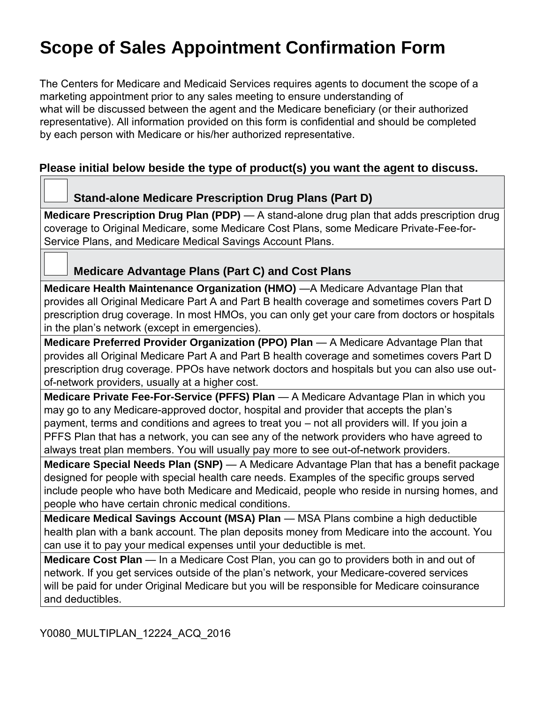# **Scope of Sales Appointment Confirmation Form**

The Centers for Medicare and Medicaid Services requires agents to document the scope of a marketing appointment prior to any sales meeting to ensure understanding of what will be discussed between the agent and the Medicare beneficiary (or their authorized representative). All information provided on this form is confidential and should be completed by each person with Medicare or his/her authorized representative.

# **Please initial below beside the type of product(s) you want the agent to discuss.**

## **Stand-alone Medicare Prescription Drug Plans (Part D)**

**Medicare Prescription Drug Plan (PDP)** — A stand-alone drug plan that adds prescription drug coverage to Original Medicare, some Medicare Cost Plans, some Medicare Private-Fee-for-Service Plans, and Medicare Medical Savings Account Plans.

# **Medicare Advantage Plans (Part C) and Cost Plans**

**Medicare Health Maintenance Organization (HMO)** —A Medicare Advantage Plan that provides all Original Medicare Part A and Part B health coverage and sometimes covers Part D prescription drug coverage. In most HMOs, you can only get your care from doctors or hospitals in the plan's network (except in emergencies).

**Medicare Preferred Provider Organization (PPO) Plan** — A Medicare Advantage Plan that provides all Original Medicare Part A and Part B health coverage and sometimes covers Part D prescription drug coverage. PPOs have network doctors and hospitals but you can also use outof-network providers, usually at a higher cost.

**Medicare Private Fee-For-Service (PFFS) Plan** — A Medicare Advantage Plan in which you may go to any Medicare-approved doctor, hospital and provider that accepts the plan's payment, terms and conditions and agrees to treat you – not all providers will. If you join a PFFS Plan that has a network, you can see any of the network providers who have agreed to always treat plan members. You will usually pay more to see out-of-network providers.

**Medicare Special Needs Plan (SNP)** — A Medicare Advantage Plan that has a benefit package designed for people with special health care needs. Examples of the specific groups served include people who have both Medicare and Medicaid, people who reside in nursing homes, and people who have certain chronic medical conditions.

**Medicare Medical Savings Account (MSA) Plan** — MSA Plans combine a high deductible health plan with a bank account. The plan deposits money from Medicare into the account. You can use it to pay your medical expenses until your deductible is met.

**Medicare Cost Plan** — In a Medicare Cost Plan, you can go to providers both in and out of network. If you get services outside of the plan's network, your Medicare-covered services will be paid for under Original Medicare but you will be responsible for Medicare coinsurance and deductibles.

Y0080\_MULTIPLAN\_12224\_ACQ\_2016